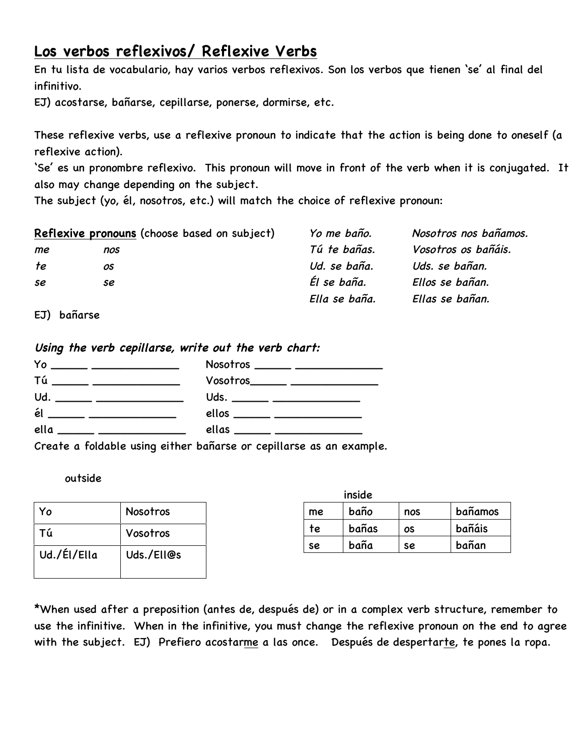# **Los verbos reflexivos/ Reflexive Verbs**

En tu lista de vocabulario, hay varios verbos reflexivos. Son los verbos que tienen 'se' al final del infinitivo.

EJ) acostarse, bañarse, cepillarse, ponerse, dormirse, etc.

These reflexive verbs, use a reflexive pronoun to indicate that the action is being done to oneself (a reflexive action).

'Se' es un pronombre reflexivo. This pronoun will move in front of the verb when it is conjugated. It also may change depending on the subject.

The subject (yo, él, nosotros, etc.) will match the choice of reflexive pronoun:

|    | Reflexive pronouns (choose based on subject) | Yo me baño.   | Nosotros nos bañamos. |
|----|----------------------------------------------|---------------|-----------------------|
| me | nos                                          | Tú te bañas.  | Vosotros os bañáis.   |
| te | OS.                                          | Ud. se baña.  | Uds. se bañan.        |
| se | se                                           | Él se baña.   | Ellos se bañan.       |
|    |                                              | Ella se baña. | Ellas se bañan.       |

EJ) bañarse

**Using the verb cepillarse, write out the verb chart:**



Create a foldable using either bañarse or cepillarse as an example.

#### outside

| Y٥          | <b>Nosotros</b> |
|-------------|-----------------|
| Τú          | Vosotros        |
| Ud./Él/Ella | Uds./Ell@s      |

|    | inside |     |         |
|----|--------|-----|---------|
| me | baño   | nos | bañamos |
| te | bañas  | OS  | bañáis  |
| se | baña   | se  | bañan   |

\*When used after a preposition (antes de, después de) or in a complex verb structure, remember to use the infinitive. When in the infinitive, you must change the reflexive pronoun on the end to agree with the subject. EJ) Prefiero acostarme a las once. Después de despertarte, te pones la ropa.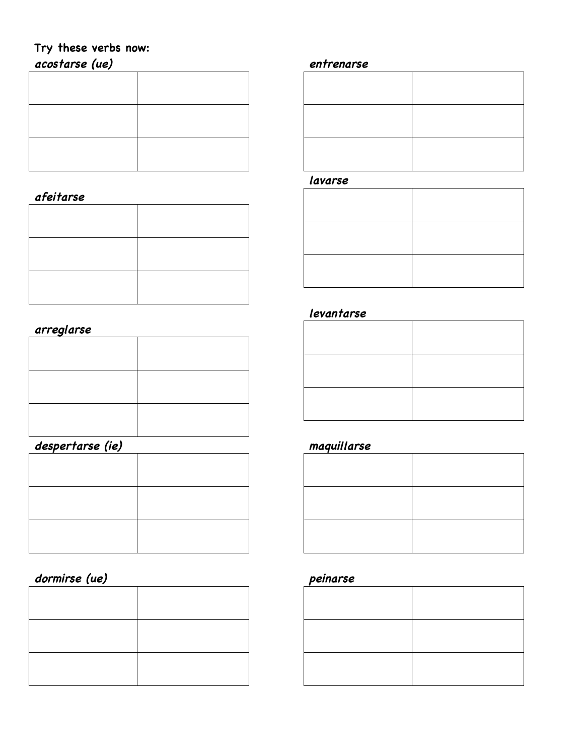## **Try these verbs now: acostarse (ue)**

### **afeitarse**

### **arreglarse**

## **despertarse (ie)**

## **dormirse (ue)**

### **entrenarse**

#### **lavarse**

#### **levantarse**

### **maquillarse**

### **peinarse**